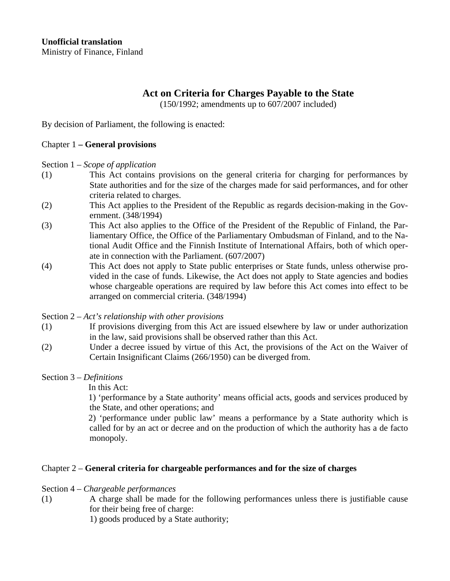# **Act on Criteria for Charges Payable to the State**

(150/1992; amendments up to 607/2007 included)

By decision of Parliament, the following is enacted:

## Chapter 1 **– General provisions**

Section 1 – *Scope of application* 

- (1) This Act contains provisions on the general criteria for charging for performances by State authorities and for the size of the charges made for said performances, and for other criteria related to charges.
- (2) This Act applies to the President of the Republic as regards decision-making in the Government. (348/1994)
- (3) This Act also applies to the Office of the President of the Republic of Finland, the Parliamentary Office, the Office of the Parliamentary Ombudsman of Finland, and to the National Audit Office and the Finnish Institute of International Affairs, both of which operate in connection with the Parliament. (607/2007)
- (4) This Act does not apply to State public enterprises or State funds, unless otherwise provided in the case of funds. Likewise, the Act does not apply to State agencies and bodies whose chargeable operations are required by law before this Act comes into effect to be arranged on commercial criteria. (348/1994)

Section 2 – *Act's relationship with other provisions* 

- (1) If provisions diverging from this Act are issued elsewhere by law or under authorization in the law, said provisions shall be observed rather than this Act.
- (2) Under a decree issued by virtue of this Act, the provisions of the Act on the Waiver of Certain Insignificant Claims (266/1950) can be diverged from.

# Section 3 – *Definitions*

In this Act:

1) 'performance by a State authority' means official acts, goods and services produced by the State, and other operations; and

2) 'performance under public law' means a performance by a State authority which is called for by an act or decree and on the production of which the authority has a de facto monopoly.

# Chapter 2 – **General criteria for chargeable performances and for the size of charges**

- Section 4 *Chargeable performances*
- (1) A charge shall be made for the following performances unless there is justifiable cause for their being free of charge:

1) goods produced by a State authority;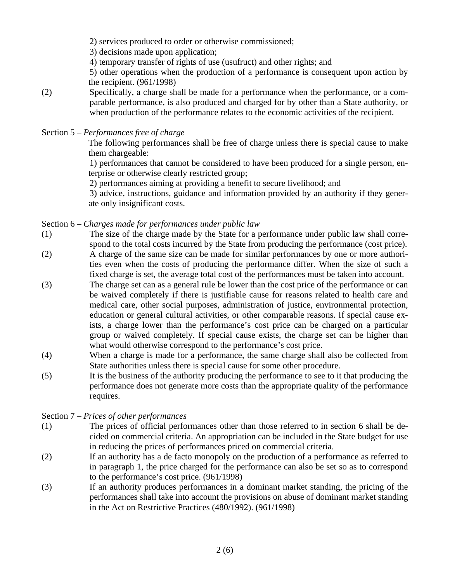2) services produced to order or otherwise commissioned;

3) decisions made upon application;

4) temporary transfer of rights of use (usufruct) and other rights; and

5) other operations when the production of a performance is consequent upon action by the recipient. (961/1998)

- (2) Specifically, a charge shall be made for a performance when the performance, or a comparable performance, is also produced and charged for by other than a State authority, or when production of the performance relates to the economic activities of the recipient.
- Section 5 *Performances free of charge*

The following performances shall be free of charge unless there is special cause to make them chargeable:

1) performances that cannot be considered to have been produced for a single person, enterprise or otherwise clearly restricted group;

2) performances aiming at providing a benefit to secure livelihood; and

3) advice, instructions, guidance and information provided by an authority if they generate only insignificant costs.

Section 6 – *Charges made for performances under public law* 

- (1) The size of the charge made by the State for a performance under public law shall correspond to the total costs incurred by the State from producing the performance (cost price).
- (2) A charge of the same size can be made for similar performances by one or more authorities even when the costs of producing the performance differ. When the size of such a fixed charge is set, the average total cost of the performances must be taken into account.
- (3) The charge set can as a general rule be lower than the cost price of the performance or can be waived completely if there is justifiable cause for reasons related to health care and medical care, other social purposes, administration of justice, environmental protection, education or general cultural activities, or other comparable reasons. If special cause exists, a charge lower than the performance's cost price can be charged on a particular group or waived completely. If special cause exists, the charge set can be higher than what would otherwise correspond to the performance's cost price.
- (4) When a charge is made for a performance, the same charge shall also be collected from State authorities unless there is special cause for some other procedure.
- (5) It is the business of the authority producing the performance to see to it that producing the performance does not generate more costs than the appropriate quality of the performance requires.

## Section 7 – *Prices of other performances*

- (1) The prices of official performances other than those referred to in section 6 shall be decided on commercial criteria. An appropriation can be included in the State budget for use in reducing the prices of performances priced on commercial criteria.
- (2) If an authority has a de facto monopoly on the production of a performance as referred to in paragraph 1, the price charged for the performance can also be set so as to correspond to the performance's cost price. (961/1998)
- (3) If an authority produces performances in a dominant market standing, the pricing of the performances shall take into account the provisions on abuse of dominant market standing in the Act on Restrictive Practices (480/1992). (961/1998)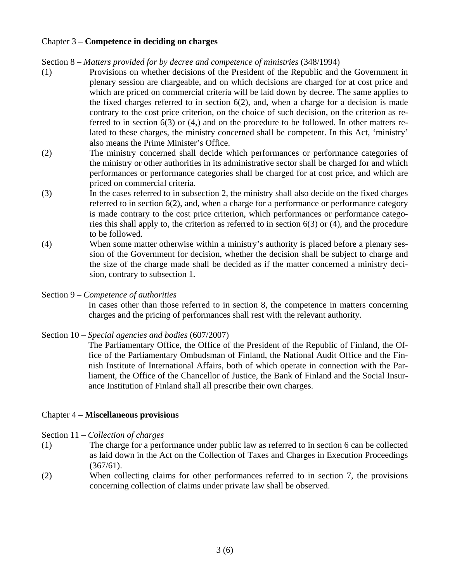## Chapter 3 **– Competence in deciding on charges**

- (1) Provisions on whether decisions of the President of the Republic and the Government in plenary session are chargeable, and on which decisions are charged for at cost price and which are priced on commercial criteria will be laid down by decree. The same applies to the fixed charges referred to in section  $6(2)$ , and, when a charge for a decision is made contrary to the cost price criterion, on the choice of such decision, on the criterion as referred to in section 6(3) or (4,) and on the procedure to be followed. In other matters related to these charges, the ministry concerned shall be competent. In this Act, 'ministry' also means the Prime Minister's Office.
- (2) The ministry concerned shall decide which performances or performance categories of the ministry or other authorities in its administrative sector shall be charged for and which performances or performance categories shall be charged for at cost price, and which are priced on commercial criteria.
- (3) In the cases referred to in subsection 2, the ministry shall also decide on the fixed charges referred to in section 6(2), and, when a charge for a performance or performance category is made contrary to the cost price criterion, which performances or performance categories this shall apply to, the criterion as referred to in section 6(3) or (4), and the procedure to be followed.
- (4) When some matter otherwise within a ministry's authority is placed before a plenary session of the Government for decision, whether the decision shall be subject to charge and the size of the charge made shall be decided as if the matter concerned a ministry decision, contrary to subsection 1.
- Section 9 *Competence of authorities*

In cases other than those referred to in section 8, the competence in matters concerning charges and the pricing of performances shall rest with the relevant authority.

Section 10 – *Special agencies and bodies* (607/2007)

The Parliamentary Office, the Office of the President of the Republic of Finland, the Office of the Parliamentary Ombudsman of Finland, the National Audit Office and the Finnish Institute of International Affairs, both of which operate in connection with the Parliament, the Office of the Chancellor of Justice, the Bank of Finland and the Social Insurance Institution of Finland shall all prescribe their own charges.

## Chapter 4 – **Miscellaneous provisions**

- Section 11 *Collection of charges*
- (1) The charge for a performance under public law as referred to in section 6 can be collected as laid down in the Act on the Collection of Taxes and Charges in Execution Proceedings  $(367/61)$ .
- (2) When collecting claims for other performances referred to in section 7, the provisions concerning collection of claims under private law shall be observed.

Section 8 – *Matters provided for by decree and competence of ministries* (348/1994)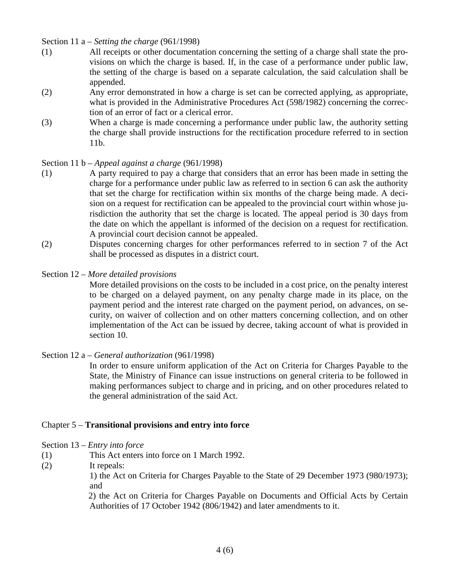Section 11 a – *Setting the charge* (961/1998)

- (1) All receipts or other documentation concerning the setting of a charge shall state the provisions on which the charge is based. If, in the case of a performance under public law, the setting of the charge is based on a separate calculation, the said calculation shall be appended.
- (2) Any error demonstrated in how a charge is set can be corrected applying, as appropriate, what is provided in the Administrative Procedures Act (598/1982) concerning the correction of an error of fact or a clerical error.
- (3) When a charge is made concerning a performance under public law, the authority setting the charge shall provide instructions for the rectification procedure referred to in section 11b.

Section 11 b – *Appeal against a charge* (961/1998)

- (1) A party required to pay a charge that considers that an error has been made in setting the charge for a performance under public law as referred to in section 6 can ask the authority that set the charge for rectification within six months of the charge being made. A decision on a request for rectification can be appealed to the provincial court within whose jurisdiction the authority that set the charge is located. The appeal period is 30 days from the date on which the appellant is informed of the decision on a request for rectification. A provincial court decision cannot be appealed.
- (2) Disputes concerning charges for other performances referred to in section 7 of the Act shall be processed as disputes in a district court.
- Section 12 *More detailed provisions*

More detailed provisions on the costs to be included in a cost price, on the penalty interest to be charged on a delayed payment, on any penalty charge made in its place, on the payment period and the interest rate charged on the payment period, on advances, on security, on waiver of collection and on other matters concerning collection, and on other implementation of the Act can be issued by decree, taking account of what is provided in section 10.

Section 12 a – *General authorization* (961/1998)

In order to ensure uniform application of the Act on Criteria for Charges Payable to the State, the Ministry of Finance can issue instructions on general criteria to be followed in making performances subject to charge and in pricing, and on other procedures related to the general administration of the said Act.

## Chapter 5 – **Transitional provisions and entry into force**

#### Section 13 – *Entry into force*

- (1) This Act enters into force on 1 March 1992.
- (2) It repeals:

1) the Act on Criteria for Charges Payable to the State of 29 December 1973 (980/1973); and

2) the Act on Criteria for Charges Payable on Documents and Official Acts by Certain Authorities of 17 October 1942 (806/1942) and later amendments to it.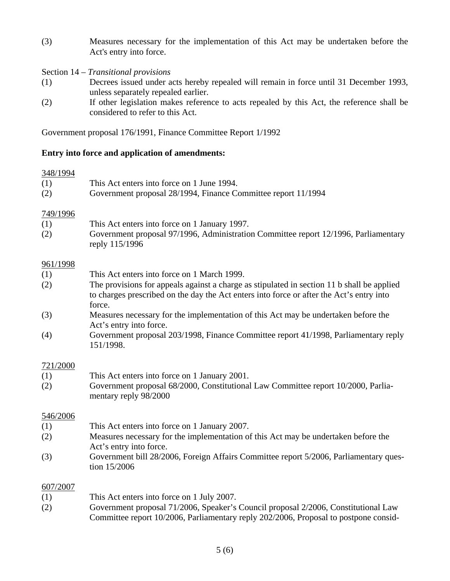- (3) Measures necessary for the implementation of this Act may be undertaken before the Act's entry into force.
- Section 14 *Transitional provisions*
- (1) Decrees issued under acts hereby repealed will remain in force until 31 December 1993, unless separately repealed earlier.
- (2) If other legislation makes reference to acts repealed by this Act, the reference shall be considered to refer to this Act.

Government proposal 176/1991, Finance Committee Report 1/1992

## **Entry into force and application of amendments:**

#### 348/1994

| (1)      | This Act enters into force on 1 June 1994.                    |
|----------|---------------------------------------------------------------|
| (2)      | Government proposal 28/1994, Finance Committee report 11/1994 |
| 749/1996 |                                                               |
| (1)      | This Act enters into force on 1 January 1997.                 |
|          |                                                               |

(2) Government proposal 97/1996, Administration Committee report 12/1996, Parliamentary reply 115/1996

## 961/1998

- (1) This Act enters into force on 1 March 1999.
- (2) The provisions for appeals against a charge as stipulated in section 11 b shall be applied to charges prescribed on the day the Act enters into force or after the Act's entry into force.
- (3) Measures necessary for the implementation of this Act may be undertaken before the Act's entry into force.
- (4) Government proposal 203/1998, Finance Committee report 41/1998, Parliamentary reply 151/1998.

## 721/2000

- (1) This Act enters into force on 1 January 2001.
- (2) Government proposal 68/2000, Constitutional Law Committee report 10/2000, Parliamentary reply 98/2000

## 546/2006

- (1) This Act enters into force on 1 January 2007.
- (2) Measures necessary for the implementation of this Act may be undertaken before the Act's entry into force.
- (3) Government bill 28/2006, Foreign Affairs Committee report 5/2006, Parliamentary question 15/2006

## 607/2007

- (1) This Act enters into force on 1 July 2007.
- (2) Government proposal 71/2006, Speaker's Council proposal 2/2006, Constitutional Law Committee report 10/2006, Parliamentary reply 202/2006, Proposal to postpone consid-